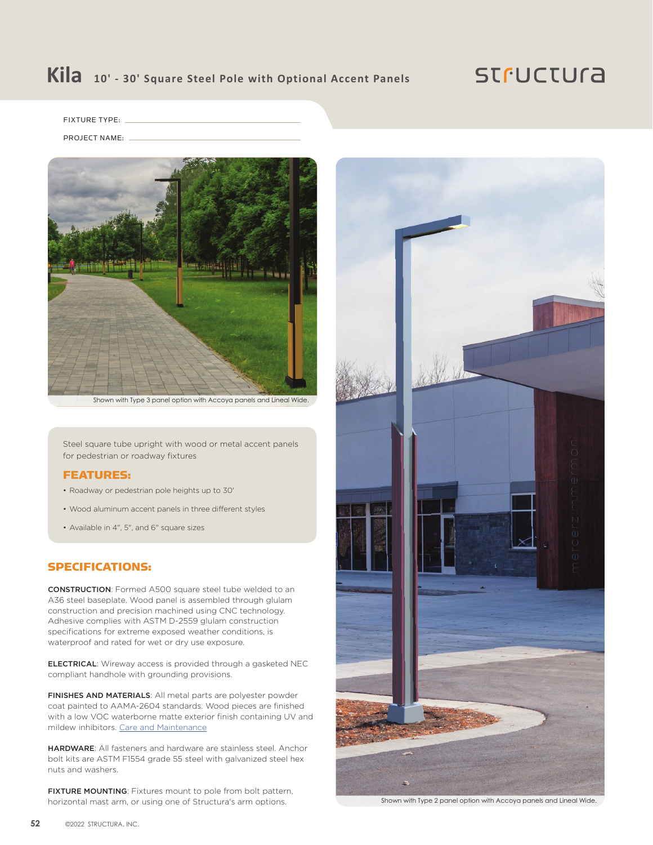## **Kila 10' - 30' Square Steel Pole with Optional Accent Panels**

### **STFUCTUra**

FIXTURE TYPE:

PROJECT NAME:



Shown with Type 3 panel option with Accoya panels and Lineal Wide.

Steel square tube upright with wood or metal accent panels for pedestrian or roadway fixtures

#### FEATURES:

- Roadway or pedestrian pole heights up to 30'
- Wood aluminum accent panels in three different styles
- Available in 4", 5", and 6" square sizes

#### SPECIFICATIONS:

CONSTRUCTION: Formed A500 square steel tube welded to an A36 steel baseplate. Wood panel is assembled through glulam construction and precision machined using CNC technology. Adhesive complies with ASTM D-2559 glulam construction specifications for extreme exposed weather conditions, is waterproof and rated for wet or dry use exposure.

ELECTRICAL: Wireway access is provided through a gasketed NEC compliant handhole with grounding provisions.

FINISHES AND MATERIALS: All metal parts are polyester powder coat painted to AAMA-2604 standards. Wood pieces are finished with a low VOC waterborne matte exterior finish containing UV and mildew inhibitors. [Care and Maintenance](https://structura.com/resources/care-maintenance)

HARDWARE: All fasteners and hardware are stainless steel. Anchor bolt kits are ASTM F1554 grade 55 steel with galvanized steel hex nuts and washers.

FIXTURE MOUNTING: Fixtures mount to pole from bolt pattern, horizontal mast arm, or using one of Structura's arm options.



Shown with Type 2 panel option with Accoya panels and Lineal Wide.